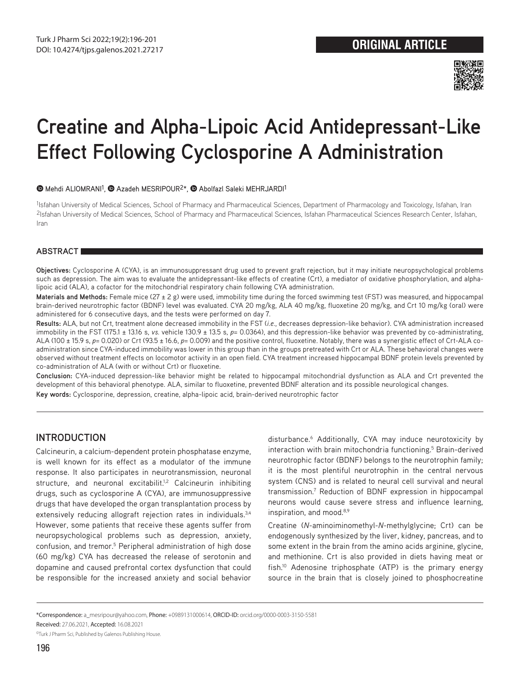

# **Creatine and Alpha-Lipoic Acid Antidepressant-Like Effect Following Cyclosporine A Administration**

#### $\bullet$ Mehdi ALIOMRANI<sup>1</sup>,  $\bullet$  Azadeh MESRIPOUR<sup>2\*</sup>,  $\bullet$  Abolfazl Saleki MEHRJARDI<sup>1</sup>

1Isfahan University of Medical Sciences, School of Pharmacy and Pharmaceutical Sciences, Department of Pharmacology and Toxicology, Isfahan, Iran 2Isfahan University of Medical Sciences, School of Pharmacy and Pharmaceutical Sciences, Isfahan Pharmaceutical Sciences Research Center, Isfahan, Iran

#### **ABSTRACT**

**Objectives:** Cyclosporine A (CYA), is an immunosuppressant drug used to prevent graft rejection, but it may initiate neuropsychological problems such as depression. The aim was to evaluate the antidepressant-like effects of creatine (Crt), a mediator of oxidative phosphorylation, and alphalipoic acid (ALA), a cofactor for the mitochondrial respiratory chain following CYA administration.

Materials and Methods: Female mice (27 ± 2 g) were used, immobility time during the forced swimming test (FST) was measured, and hippocampal brain-derived neurotrophic factor (BDNF) level was evaluated. CYA 20 mg/kg, ALA 40 mg/kg, fluoxetine 20 mg/kg, and Crt 10 mg/kg (oral) were administered for 6 consecutive days, and the tests were performed on day 7.

**Results:** ALA, but not Crt, treatment alone decreased immobility in the FST (*i.e.*, decreases depression-like behavior). CYA administration increased immobility in the FST (175.1 ± 13.16 s, *vs.* vehicle 130.9 ± 13.5 s, *p*= 0.0364), and this depression-like behavior was prevented by co-administrating, ALA (100 ± 15.9 s, *p*= 0.020) or Crt (93.5 ± 16.6, *p*= 0.009) and the positive control, fluoxetine. Notably, there was a synergistic effect of Crt-ALA coadministration since CYA-induced immobility was lower in this group than in the groups pretreated with Crt or ALA. These behavioral changes were observed without treatment effects on locomotor activity in an open field. CYA treatment increased hippocampal BDNF protein levels prevented by co-administration of ALA (with or without Crt) or fluoxetine.

**Conclusion:** CYA-induced depression-like behavior might be related to hippocampal mitochondrial dysfunction as ALA and Crt prevented the development of this behavioral phenotype. ALA, similar to fluoxetine, prevented BDNF alteration and its possible neurological changes. **Key words:** Cyclosporine, depression, creatine, alpha-lipoic acid, brain-derived neurotrophic factor

# **INTRODUCTION**

Calcineurin, a calcium-dependent protein phosphatase enzyme, is well known for its effect as a modulator of the immune response. It also participates in neurotransmission, neuronal structure, and neuronal excitabilit.<sup>1,2</sup> Calcineurin inhibiting drugs, such as cyclosporine A (CYA), are immunosuppressive drugs that have developed the organ transplantation process by extensively reducing allograft rejection rates in individuals.<sup>3,4</sup> However, some patients that receive these agents suffer from neuropsychological problems such as depression, anxiety, confusion, and tremor.<sup>5</sup> Peripheral administration of high dose (60 mg/kg) CYA has decreased the release of serotonin and dopamine and caused prefrontal cortex dysfunction that could be responsible for the increased anxiety and social behavior

disturbance.6 Additionally, CYA may induce neurotoxicity by interaction with brain mitochondria functioning.<sup>5</sup> Brain-derived neurotrophic factor (BDNF) belongs to the neurotrophin family; it is the most plentiful neurotrophin in the central nervous system (CNS) and is related to neural cell survival and neural transmission.7 Reduction of BDNF expression in hippocampal neurons would cause severe stress and influence learning, inspiration, and mood.<sup>8,9</sup>

Creatine (*N*-aminoiminomethyl-*N*-methylglycine; Crt) can be endogenously synthesized by the liver, kidney, pancreas, and to some extent in the brain from the amino acids arginine, glycine, and methionine. Crt is also provided in diets having meat or fish.10 Adenosine triphosphate (ATP) is the primary energy source in the brain that is closely joined to phosphocreatine

<sup>\*</sup>Correspondence: a\_mesripour@yahoo.com, Phone: +0989131000614, ORCID-ID: orcid.org/0000-0003-3150-5581

Received: 27.06.2021, Accepted: 16.08.2021

<sup>©</sup>Turk J Pharm Sci, Published by Galenos Publishing House.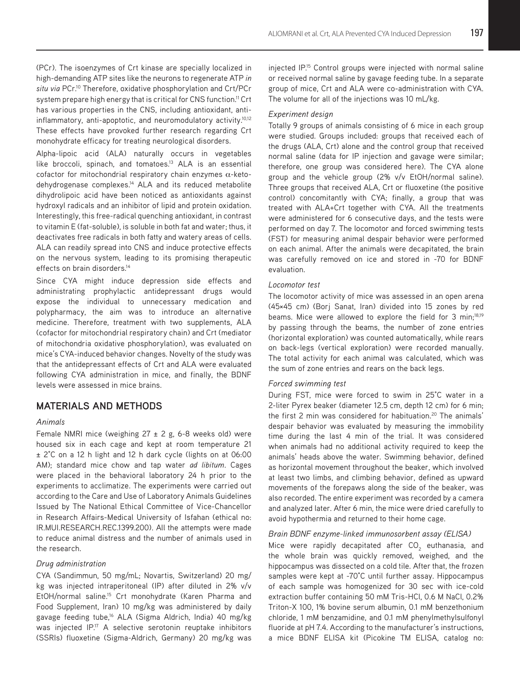(PCr). The isoenzymes of Crt kinase are specially localized in high-demanding ATP sites like the neurons to regenerate ATP *in situ via* PCr.10 Therefore, oxidative phosphorylation and Crt/PCr system prepare high energy that is critical for CNS function.<sup>11</sup> Crt has various properties in the CNS, including antioxidant, antiinflammatory, anti-apoptotic, and neuromodulatory activity.10,12 These effects have provoked further research regarding Crt monohydrate efficacy for treating neurological disorders.

Alpha-lipoic acid (ALA) naturally occurs in vegetables like broccoli, spinach, and tomatoes.<sup>13</sup> ALA is an essential cofactor for mitochondrial respiratory chain enzymes  $\alpha$ -ketodehydrogenase complexes.<sup>14</sup> ALA and its reduced metabolite dihydrolipoic acid have been noticed as antioxidants against hydroxyl radicals and an inhibitor of lipid and protein oxidation. Interestingly, this free-radical quenching antioxidant, in contrast to vitamin E (fat-soluble), is soluble in both fat and water; thus, it deactivates free radicals in both fatty and watery areas of cells. ALA can readily spread into CNS and induce protective effects on the nervous system, leading to its promising therapeutic effects on brain disorders.<sup>14</sup>

Since CYA might induce depression side effects and administrating prophylactic antidepressant drugs would expose the individual to unnecessary medication and polypharmacy, the aim was to introduce an alternative medicine. Therefore, treatment with two supplements, ALA (cofactor for mitochondrial respiratory chain) and Crt (mediator of mitochondria oxidative phosphorylation), was evaluated on mice's CYA-induced behavior changes. Novelty of the study was that the antidepressant effects of Crt and ALA were evaluated following CYA administration in mice, and finally, the BDNF levels were assessed in mice brains.

# **MATERIALS AND METHODS**

# *Animals*

Female NMRI mice (weighing  $27 \pm 2$  g, 6-8 weeks old) were housed six in each cage and kept at room temperature 21 ± 2°C on a 12 h light and 12 h dark cycle (lights on at 06:00 AM); standard mice chow and tap water *ad libitum*. Cages were placed in the behavioral laboratory 24 h prior to the experiments to acclimatize. The experiments were carried out according to the Care and Use of Laboratory Animals Guidelines Issued by The National Ethical Committee of Vice-Chancellor in Research Affairs-Medical University of Isfahan (ethical no: IR.MUI.RESEARCH.REC.1399.200). All the attempts were made to reduce animal distress and the number of animals used in the research.

# *Drug administration*

CYA (Sandimmun, 50 mg/mL; Novartis, Switzerland) 20 mg/ kg was injected intraperitoneal (IP) after diluted in 2% v/v EtOH/normal saline.<sup>15</sup> Crt monohydrate (Karen Pharma and Food Supplement, Iran) 10 mg/kg was administered by daily gavage feeding tube,<sup>16</sup> ALA (Sigma Aldrich, India) 40 mg/kg was injected IP.<sup>17</sup> A selective serotonin reuptake inhibitors (SSRIs) fluoxetine (Sigma-Aldrich, Germany) 20 mg/kg was

injected IP.15 Control groups were injected with normal saline or received normal saline by gavage feeding tube. In a separate group of mice, Crt and ALA were co-administration with CYA. The volume for all of the injections was 10 mL/kg.

## *Experiment design*

Totally 9 groups of animals consisting of 6 mice in each group were studied. Groups included: groups that received each of the drugs (ALA, Crt) alone and the control group that received normal saline (data for IP injection and gavage were similar; therefore, one group was considered here). The CYA alone group and the vehicle group (2% v/v EtOH/normal saline). Three groups that received ALA, Crt or fluoxetine (the positive control) concomitantly with CYA; finally, a group that was treated with ALA+Crt together with CYA. All the treatments were administered for 6 consecutive days, and the tests were performed on day 7. The locomotor and forced swimming tests (FST) for measuring animal despair behavior were performed on each animal. After the animals were decapitated, the brain was carefully removed on ice and stored in -70 for BDNF evaluation.

#### *Locomotor test*

The locomotor activity of mice was assessed in an open arena (45×45 cm) (Borj Sanat, Iran) divided into 15 zones by red beams. Mice were allowed to explore the field for 3 min;<sup>18,19</sup> by passing through the beams, the number of zone entries (horizontal exploration) was counted automatically, while rears on back-legs (vertical exploration) were recorded manually. The total activity for each animal was calculated, which was the sum of zone entries and rears on the back legs.

#### *Forced swimming test*

During FST, mice were forced to swim in 25°C water in a 2-liter Pyrex beaker (diameter 12.5 cm, depth 12 cm) for 6 min; the first 2 min was considered for habituation.<sup>20</sup> The animals' despair behavior was evaluated by measuring the immobility time during the last 4 min of the trial. It was considered when animals had no additional activity required to keep the animals' heads above the water. Swimming behavior, defined as horizontal movement throughout the beaker, which involved at least two limbs, and climbing behavior, defined as upward movements of the forepaws along the side of the beaker, was also recorded. The entire experiment was recorded by a camera and analyzed later. After 6 min, the mice were dried carefully to avoid hypothermia and returned to their home cage.

## *Brain BDNF enzyme-linked immunosorbent assay (ELISA)*

Mice were rapidly decapitated after  $\mathrm{CO}_2^+$  euthanasia, and the whole brain was quickly removed, weighed, and the hippocampus was dissected on a cold tile. After that, the frozen samples were kept at -70°C until further assay. Hippocampus of each sample was homogenized for 30 sec with ice-cold extraction buffer containing 50 mM Tris-HCl, 0.6 M NaCl, 0.2% Triton-X 100, 1% bovine serum albumin, 0.1 mM benzethonium chloride, 1 mM benzamidine, and 0.1 mM phenylmethylsulfonyl fluoride at pH 7.4. According to the manufacturer's instructions, a mice BDNF ELISA kit (Picokine TM ELISA, catalog no: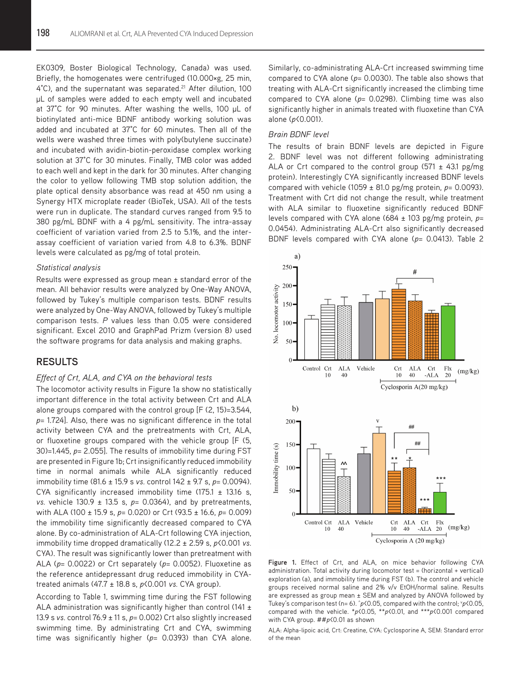EK0309, Boster Biological Technology, Canada) was used. Briefly, the homogenates were centrifuged (10.000×g, 25 min, 4°C), and the supernatant was separated.<sup>21</sup> After dilution, 100 µL of samples were added to each empty well and incubated at 37°C for 90 minutes. After washing the wells, 100 µL of biotinylated anti-mice BDNF antibody working solution was added and incubated at 37°C for 60 minutes. Then all of the wells were washed three times with poly(butylene succinate) and incubated with avidin-biotin-peroxidase complex working solution at 37°C for 30 minutes. Finally, TMB color was added to each well and kept in the dark for 30 minutes. After changing the color to yellow following TMB stop solution addition, the plate optical density absorbance was read at 450 nm using a Synergy HTX microplate reader (BioTek, USA). All of the tests were run in duplicate. The standard curves ranged from 9.5 to 380 pg/mL BDNF with a 4 pg/mL sensitivity. The intra-assay coefficient of variation varied from 2.5 to 5.1%, and the interassay coefficient of variation varied from 4.8 to 6.3%. BDNF levels were calculated as pg/mg of total protein.

#### *Statistical analysis*

Results were expressed as group mean ± standard error of the mean. All behavior results were analyzed by One-Way ANOVA, followed by Tukey's multiple comparison tests. BDNF results were analyzed by One-Way ANOVA, followed by Tukey's multiple comparison tests. *P* values less than 0.05 were considered significant. Excel 2010 and GraphPad Prizm (version 8) used the software programs for data analysis and making graphs.

# **RESULTS**

#### *Effect of Crt, ALA, and CYA on the behavioral tests*

The locomotor activity results in Figure 1a show no statistically important difference in the total activity between Crt and ALA alone groups compared with the control group [F (2, 15)=3.544, *p*= 1.724]. Also, there was no significant difference in the total activity between CYA and the pretreatments with Crt, ALA, or fluoxetine groups compared with the vehicle group [F (5, 30)=1.445, *p*= 2.055]. The results of immobility time during FST are presented in Figure 1b; Crt insignificantly reduced immobility time in normal animals while ALA significantly reduced immobility time (81.6 ± 15.9 s *vs.* control 142 ± 9.7 s, *p*= 0.0094). CYA significantly increased immobility time  $(175.1 \pm 13.16 \text{ s})$ *vs.* vehicle 130.9 ± 13.5 s, *p*= 0.0364), and by pretreatments, with ALA (100 ± 15.9 s, *p*= 0.020) or Crt (93.5 ± 16.6, *p*= 0.009) the immobility time significantly decreased compared to CYA alone. By co-administration of ALA-Crt following CYA injection, immobility time dropped dramatically (12.2 ± 2.59 s, *p*<0.001 *vs.* CYA). The result was significantly lower than pretreatment with ALA (*p*= 0.0022) or Crt separately (*p*= 0.0052). Fluoxetine as the reference antidepressant drug reduced immobility in CYAtreated animals (47.7 ± 18.8 s, *p*<0.001 *vs.* CYA group).

According to Table 1, swimming time during the FST following ALA administration was significantly higher than control  $(141 \pm$ 13.9 s *vs.* control 76.9 ± 11 s, *p*= 0.002) Crt also slightly increased swimming time. By administrating Crt and CYA, swimming time was significantly higher (*p*= 0.0393) than CYA alone.

Similarly, co-administrating ALA-Crt increased swimming time compared to CYA alone (*p*= 0.0030). The table also shows that treating with ALA-Crt significantly increased the climbing time compared to CYA alone (*p*= 0.0298). Climbing time was also significantly higher in animals treated with fluoxetine than CYA alone (*p*<0.001).

#### *Brain BDNF level*

The results of brain BDNF levels are depicted in Figure 2. BDNF level was not different following administrating ALA or Crt compared to the control group  $(571 \pm 43.1 \text{ pg/mg})$ protein). Interestingly CYA significantly increased BDNF levels compared with vehicle (1059 ± 81.0 pg/mg protein, *p*= 0.0093). Treatment with Crt did not change the result, while treatment with ALA similar to fluoxetine significantly reduced BDNF levels compared with CYA alone (684 ± 103 pg/mg protein, *p*= 0.0454). Administrating ALA-Crt also significantly decreased BDNF levels compared with CYA alone (*p*= 0.0413). Table 2



**Figure 1.** Effect of Crt, and ALA, on mice behavior following CYA administration. Total activity during locomotor test = (horizontal + vertical) exploration (a), and immobility time during FST (b). The control and vehicle groups received normal saline and 2% v/v EtOH/normal saline. Results are expressed as group mean ± SEM and analyzed by ANOVA followed by Tukey's comparison test (n= 6).  $\hat{p}$ <0.05, compared with the control;  $\hat{p}$ <0.05, compared with the vehicle. \**p*<0.05, \*\**p*<0.01, and \*\*\**p*<0.001 compared with CYA group. ##*p*<0.01 as shown

ALA: Alpha-lipoic acid, Crt: Creatine, CYA: Cyclosporine A, SEM: Standard error of the mean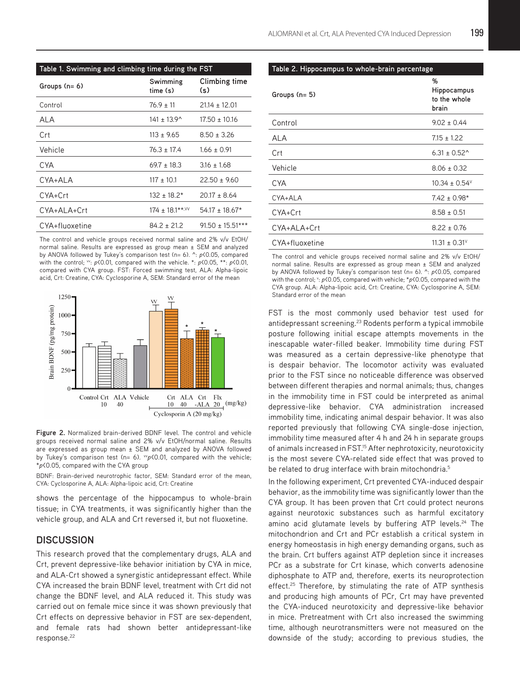| Table 1. Swimming and climbing time during the FST |                             |                      |
|----------------------------------------------------|-----------------------------|----------------------|
| Groups (n= 6)                                      | Swimming<br>time (s)        | Climbing time<br>(s) |
| Control                                            | $76.9 \pm 11$               | $21.14 \pm 12.01$    |
| ALA                                                | $141 \pm 13.9$ <sup>*</sup> | $17.50 \pm 10.16$    |
| Crt                                                | $113 \pm 9.65$              | $8.50 \pm 3.26$      |
| Vehicle                                            | $76.3 \pm 17.4$             | $1.66 \pm 0.91$      |
| CYA                                                | $69.7 \pm 18.3$             | $3.16 \pm 1.68$      |
| CYA+ALA                                            | $117 \pm 10.1$              | $22.50 \pm 9.60$     |
| CYA+Crt                                            | $132 \pm 18.2^*$            | $20.17 \pm 8.64$     |
| CYA+ALA+Crt                                        | $174 \pm 18.1***$           | $54.17 \pm 18.67*$   |
| CYA+fluoxetine                                     | $84.2 \pm 21.2$             | $91.50 \pm 15.51***$ |

The control and vehicle groups received normal saline and 2% v/v EtOH/ normal saline. Results are expressed as group mean ± SEM and analyzed by ANOVA followed by Tukey's comparison test (n= 6). ^: *p*<0.05, compared with the control;  $\cdot v$ : *p*<0.01, compared with the vehicle. \*: *p*<0.05, \*\*: *p*<0.01, compared with CYA group. FST: Forced swimming test, ALA: Alpha-lipoic acid, Crt: Creatine, CYA: Cyclosporine A, SEM: Standard error of the mean



**Figure 2.** Normalized brain-derived BDNF level. The control and vehicle groups received normal saline and 2% v/v EtOH/normal saline. Results are expressed as group mean ± SEM and analyzed by ANOVA followed by Tukey's comparison test (n= 6).  $w p \times 0.01$ , compared with the vehicle; \**p*<0.05, compared with the CYA group

BDNF: Brain-derived neurotrophic factor, SEM: Standard error of the mean, CYA: Cyclosporine A, ALA: Alpha-lipoic acid, Crt: Creatine

shows the percentage of the hippocampus to whole-brain tissue; in CYA treatments, it was significantly higher than the vehicle group, and ALA and Crt reversed it, but not fluoxetine.

# **DISCUSSION**

This research proved that the complementary drugs, ALA and Crt, prevent depressive-like behavior initiation by CYA in mice, and ALA-Crt showed a synergistic antidepressant effect. While CYA increased the brain BDNF level, treatment with Crt did not change the BDNF level, and ALA reduced it. This study was carried out on female mice since it was shown previously that Crt effects on depressive behavior in FST are sex-dependent, and female rats had shown better antidepressant-like response.<sup>22</sup>

**Table 2. Hippocampus to whole-brain percentage**

| Groups (n= 5)  | %<br>Hippocampus<br>to the whole<br>brain |
|----------------|-------------------------------------------|
| Control        | $9.02 \pm 0.44$                           |
| ALA            | $7.15 \pm 1.22$                           |
| Crt            | $6.31 \pm 0.52^{\circ}$                   |
| Vehicle        | $8.06 \pm 0.32$                           |
| <b>CYA</b>     | $10.34 \pm 0.54^{\circ}$                  |
| CYA+ALA        | $7.42 \pm 0.98*$                          |
| CYA+Crt        | $8.58 \pm 0.51$                           |
| CYA+ALA+Crt    | $8.22 \pm 0.76$                           |
| CYA+fluoxetine | $11.31 \pm 0.31^{\circ}$                  |

The control and vehicle groups received normal saline and 2% v/v EtOH/ normal saline. Results are expressed as group mean ± SEM and analyzed by ANOVA followed by Tukey's comparison test (n= 6). ^: *p*<0.05, compared with the control; v:  $p$ <0.05, compared with vehicle; \* $p$ <0.05, compared with the CYA group. ALA: Alpha-lipoic acid, Crt: Creatine, CYA: Cyclosporine A, SEM: Standard error of the mean

FST is the most commonly used behavior test used for antidepressant screening.<sup>23</sup> Rodents perform a typical immobile posture following initial escape attempts movements in the inescapable water-filled beaker. Immobility time during FST was measured as a certain depressive-like phenotype that is despair behavior. The locomotor activity was evaluated prior to the FST since no noticeable difference was observed between different therapies and normal animals; thus, changes in the immobility time in FST could be interpreted as animal depressive-like behavior. CYA administration increased immobility time, indicating animal despair behavior. It was also reported previously that following CYA single-dose injection, immobility time measured after 4 h and 24 h in separate groups of animals increased in FST.<sup>15</sup> After nephrotoxicity, neurotoxicity is the most severe CYA-related side effect that was proved to be related to drug interface with brain mitochondria.<sup>5</sup>

In the following experiment, Crt prevented CYA-induced despair behavior, as the immobility time was significantly lower than the CYA group. It has been proven that Crt could protect neurons against neurotoxic substances such as harmful excitatory amino acid glutamate levels by buffering ATP levels.<sup>24</sup> The mitochondrion and Crt and PCr establish a critical system in energy homeostasis in high energy demanding organs, such as the brain. Crt buffers against ATP depletion since it increases PCr as a substrate for Crt kinase, which converts adenosine diphosphate to ATP and, therefore, exerts its neuroprotection effect.<sup>25</sup> Therefore, by stimulating the rate of ATP synthesis and producing high amounts of PCr, Crt may have prevented the CYA-induced neurotoxicity and depressive-like behavior in mice. Pretreatment with Crt also increased the swimming time, although neurotransmitters were not measured on the downside of the study; according to previous studies, the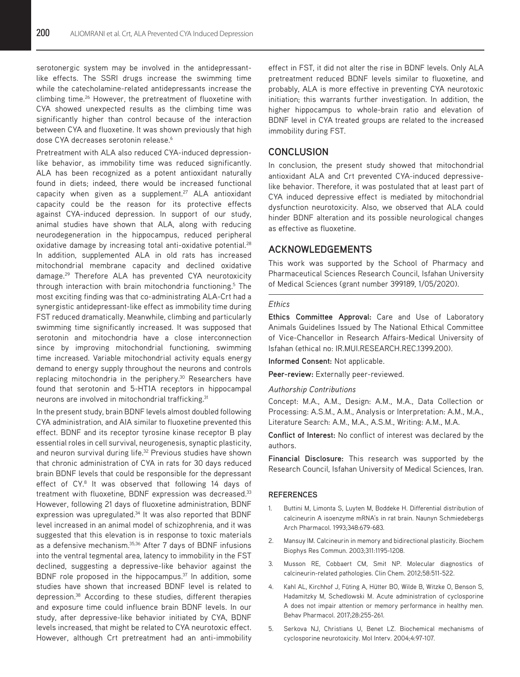serotonergic system may be involved in the antidepressantlike effects. The SSRI drugs increase the swimming time while the catecholamine-related antidepressants increase the climbing time.<sup>26</sup> However, the pretreatment of fluoxetine with CYA showed unexpected results as the climbing time was significantly higher than control because of the interaction between CYA and fluoxetine. It was shown previously that high dose CYA decreases serotonin release.<sup>6</sup>

Pretreatment with ALA also reduced CYA-induced depressionlike behavior, as immobility time was reduced significantly. ALA has been recognized as a potent antioxidant naturally found in diets; indeed, there would be increased functional capacity when given as a supplement.<sup>27</sup> ALA antioxidant capacity could be the reason for its protective effects against CYA-induced depression. In support of our study, animal studies have shown that ALA, along with reducing neurodegeneration in the hippocampus, reduced peripheral oxidative damage by increasing total anti-oxidative potential.<sup>28</sup> In addition, supplemented ALA in old rats has increased mitochondrial membrane capacity and declined oxidative damage.<sup>29</sup> Therefore ALA has prevented CYA neurotoxicity through interaction with brain mitochondria functioning.<sup>5</sup> The most exciting finding was that co-administrating ALA-Crt had a synergistic antidepressant-like effect as immobility time during FST reduced dramatically. Meanwhile, climbing and particularly swimming time significantly increased. It was supposed that serotonin and mitochondria have a close interconnection since by improving mitochondrial functioning, swimming time increased. Variable mitochondrial activity equals energy demand to energy supply throughout the neurons and controls replacing mitochondria in the periphery.<sup>30</sup> Researchers have found that serotonin and 5-HT1A receptors in hippocampal neurons are involved in mitochondrial trafficking.<sup>31</sup>

In the present study, brain BDNF levels almost doubled following CYA administration, and AIA similar to fluoxetine prevented this effect. BDNF and its receptor tyrosine kinase receptor B play essential roles in cell survival, neurogenesis, synaptic plasticity, and neuron survival during life.<sup>32</sup> Previous studies have shown that chronic administration of CYA in rats for 30 days reduced brain BDNF levels that could be responsible for the depressant effect of CY.<sup>8</sup> It was observed that following 14 days of treatment with fluoxetine, BDNF expression was decreased.<sup>33</sup> However, following 21 days of fluoxetine administration, BDNF expression was upregulated.<sup>34</sup> It was also reported that BDNF level increased in an animal model of schizophrenia, and it was suggested that this elevation is in response to toxic materials as a defensive mechanism.<sup>35,36</sup> After 7 days of BDNF infusions into the ventral tegmental area, latency to immobility in the FST declined, suggesting a depressive-like behavior against the BDNF role proposed in the hippocampus.<sup>37</sup> In addition, some studies have shown that increased BDNF level is related to depression.38 According to these studies, different therapies and exposure time could influence brain BDNF levels. In our study, after depressive-like behavior initiated by CYA, BDNF levels increased, that might be related to CYA neurotoxic effect. However, although Crt pretreatment had an anti-immobility effect in FST, it did not alter the rise in BDNF levels. Only ALA pretreatment reduced BDNF levels similar to fluoxetine, and probably, ALA is more effective in preventing CYA neurotoxic initiation; this warrants further investigation. In addition, the higher hippocampus to whole-brain ratio and elevation of BDNF level in CYA treated groups are related to the increased immobility during FST.

# **CONCLUSION**

In conclusion, the present study showed that mitochondrial antioxidant ALA and Crt prevented CYA-induced depressivelike behavior. Therefore, it was postulated that at least part of CYA induced depressive effect is mediated by mitochondrial dysfunction neurotoxicity. Also, we observed that ALA could hinder BDNF alteration and its possible neurological changes as effective as fluoxetine.

# **ACKNOWLEDGEMENTS**

This work was supported by the School of Pharmacy and Pharmaceutical Sciences Research Council, Isfahan University of Medical Sciences (grant number 399189, 1/05/2020).

#### *Ethics*

**Ethics Committee Approval:** Care and Use of Laboratory Animals Guidelines Issued by The National Ethical Committee of Vice-Chancellor in Research Affairs-Medical University of Isfahan (ethical no: IR.MUI.RESEARCH.REC.1399.200).

**Informed Consent:** Not applicable.

**Peer-review:** Externally peer-reviewed.

#### *Authorship Contributions*

Concept: M.A., A.M., Design: A.M., M.A., Data Collection or Processing: A.S.M., A.M., Analysis or Interpretation: A.M., M.A., Literature Search: A.M., M.A., A.S.M., Writing: A.M., M.A.

**Conflict of Interest:** No conflict of interest was declared by the authors.

**Financial Disclosure:** This research was supported by the Research Council, Isfahan University of Medical Sciences, Iran.

#### **REFERENCES**

- 1. Buttini M, Limonta S, Luyten M, Boddeke H. Differential distribution of calcineurin A isoenzyme mRNA's in rat brain. Naunyn Schmiedebergs Arch Pharmacol. 1993;348:679-683.
- 2. Mansuy IM. Calcineurin in memory and bidirectional plasticity. Biochem Biophys Res Commun. 2003;311:1195-1208.
- 3. Musson RE, Cobbaert CM, Smit NP. Molecular diagnostics of calcineurin-related pathologies. Clin Chem. 2012;58:511-522.
- 4. Kahl AL, Kirchhof J, Füting A, Hütter BO, Wilde B, Witzke O, Benson S, Hadamitzky M, Schedlowski M. Acute administration of cyclosporine A does not impair attention or memory performance in healthy men. Behav Pharmacol. 2017;28:255-261.
- 5. Serkova NJ, Christians U, Benet LZ. Biochemical mechanisms of cyclosporine neurotoxicity. Mol Interv. 2004;4:97-107.